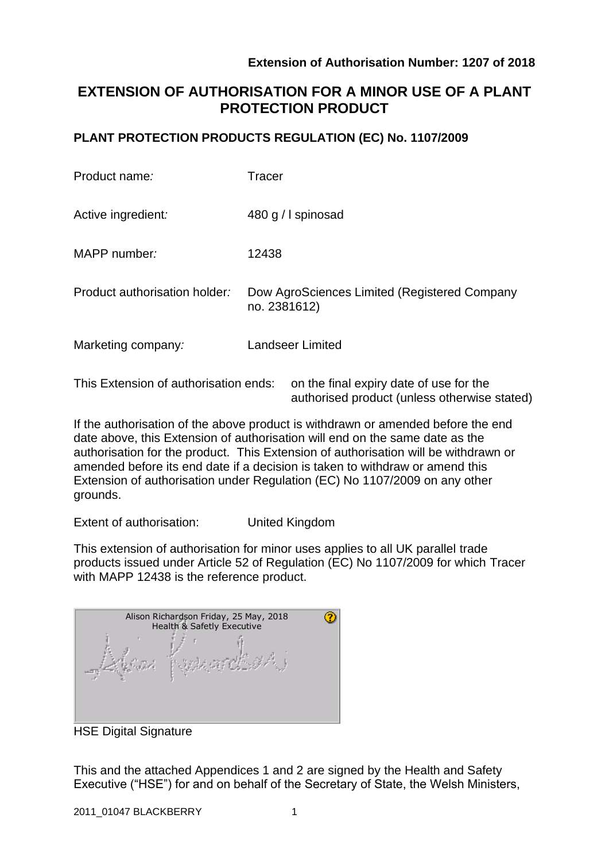authorised product (unless otherwise stated)

# **EXTENSION OF AUTHORISATION FOR A MINOR USE OF A PLANT PROTECTION PRODUCT**

### **PLANT PROTECTION PRODUCTS REGULATION (EC) No. 1107/2009**

| Product name:                         | Tracer                                                       |  |  |
|---------------------------------------|--------------------------------------------------------------|--|--|
| Active ingredient:                    | 480 g / I spinosad                                           |  |  |
| MAPP number:                          | 12438                                                        |  |  |
| Product authorisation holder:         | Dow AgroSciences Limited (Registered Company<br>no. 2381612) |  |  |
| Marketing company:                    | <b>Landseer Limited</b>                                      |  |  |
| This Extension of authorisation ends: | on the final expiry date of use for the                      |  |  |

If the authorisation of the above product is withdrawn or amended before the end date above, this Extension of authorisation will end on the same date as the authorisation for the product. This Extension of authorisation will be withdrawn or amended before its end date if a decision is taken to withdraw or amend this Extension of authorisation under Regulation (EC) No 1107/2009 on any other grounds.

Extent of authorisation: United Kingdom

This extension of authorisation for minor uses applies to all UK parallel trade products issued under Article 52 of Regulation (EC) No 1107/2009 for which Tracer with MAPP 12438 is the reference product.

| Alison Richardson Friday, 25 May, 2018<br>Health & Safetly Executive |  |  |  |  |
|----------------------------------------------------------------------|--|--|--|--|
|                                                                      |  |  |  |  |

HSE Digital Signature

This and the attached Appendices 1 and 2 are signed by the Health and Safety Executive ("HSE") for and on behalf of the Secretary of State, the Welsh Ministers,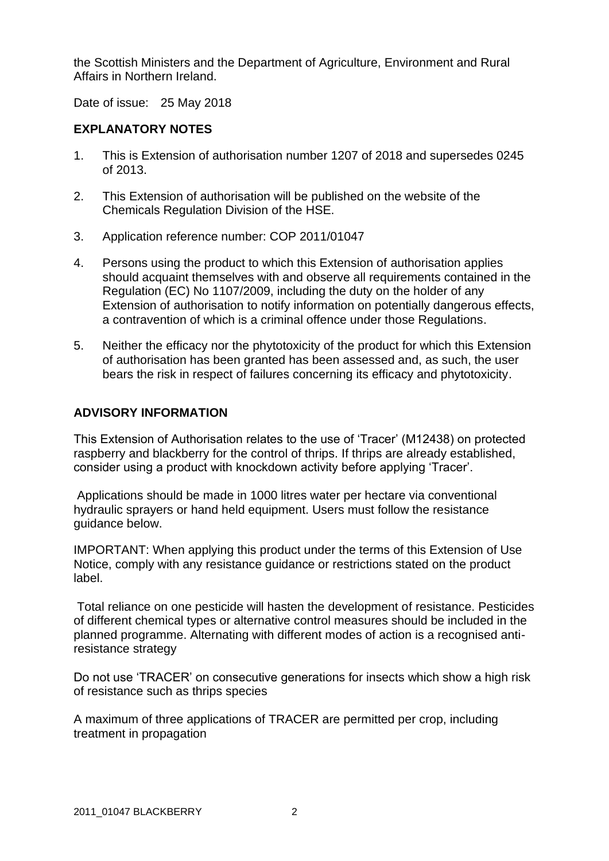the Scottish Ministers and the Department of Agriculture, Environment and Rural Affairs in Northern Ireland.

Date of issue: 25 May 2018

### **EXPLANATORY NOTES**

- 1. This is Extension of authorisation number 1207 of 2018 and supersedes 0245 of 2013.
- 2. This Extension of authorisation will be published on the website of the Chemicals Regulation Division of the HSE.
- 3. Application reference number: COP 2011/01047
- 4. Persons using the product to which this Extension of authorisation applies should acquaint themselves with and observe all requirements contained in the Regulation (EC) No 1107/2009, including the duty on the holder of any Extension of authorisation to notify information on potentially dangerous effects, a contravention of which is a criminal offence under those Regulations.
- 5. Neither the efficacy nor the phytotoxicity of the product for which this Extension of authorisation has been granted has been assessed and, as such, the user bears the risk in respect of failures concerning its efficacy and phytotoxicity.

### **ADVISORY INFORMATION**

This Extension of Authorisation relates to the use of 'Tracer' (M12438) on protected raspberry and blackberry for the control of thrips. If thrips are already established, consider using a product with knockdown activity before applying 'Tracer'.

Applications should be made in 1000 litres water per hectare via conventional hydraulic sprayers or hand held equipment. Users must follow the resistance guidance below.

IMPORTANT: When applying this product under the terms of this Extension of Use Notice, comply with any resistance guidance or restrictions stated on the product label.

Total reliance on one pesticide will hasten the development of resistance. Pesticides of different chemical types or alternative control measures should be included in the planned programme. Alternating with different modes of action is a recognised antiresistance strategy

Do not use 'TRACER' on consecutive generations for insects which show a high risk of resistance such as thrips species

A maximum of three applications of TRACER are permitted per crop, including treatment in propagation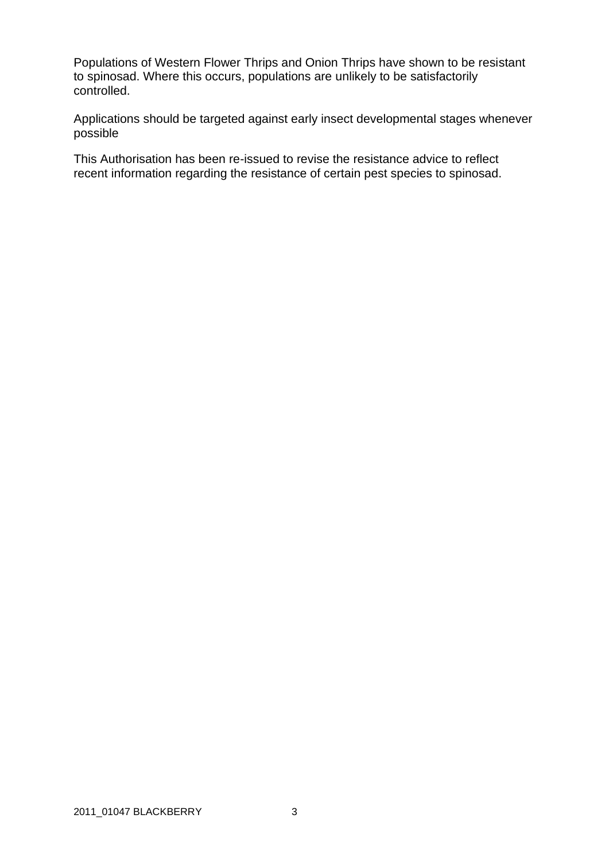Populations of Western Flower Thrips and Onion Thrips have shown to be resistant to spinosad. Where this occurs, populations are unlikely to be satisfactorily controlled.

Applications should be targeted against early insect developmental stages whenever possible

This Authorisation has been re-issued to revise the resistance advice to reflect recent information regarding the resistance of certain pest species to spinosad.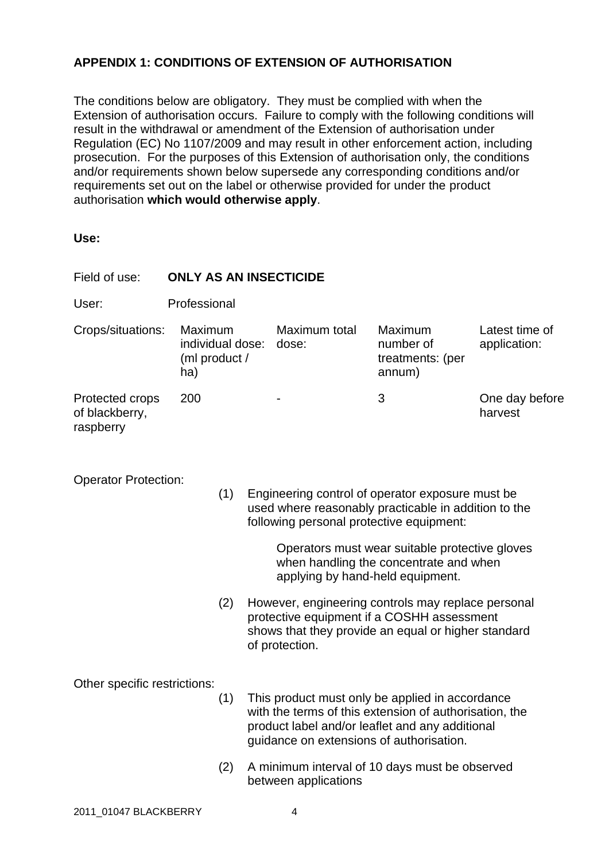## **APPENDIX 1: CONDITIONS OF EXTENSION OF AUTHORISATION**

The conditions below are obligatory. They must be complied with when the Extension of authorisation occurs. Failure to comply with the following conditions will result in the withdrawal or amendment of the Extension of authorisation under Regulation (EC) No 1107/2009 and may result in other enforcement action, including prosecution. For the purposes of this Extension of authorisation only, the conditions and/or requirements shown below supersede any corresponding conditions and/or requirements set out on the label or otherwise provided for under the product authorisation **which would otherwise apply**.

**Use:**

| Field of use:                                                                                                                                                                                                                                                                                                              | <b>ONLY AS AN INSECTICIDE</b>                       |     |                                                                                                                                                                                                          |                                                                                                                                                                           |                                                    |                                |  |  |  |
|----------------------------------------------------------------------------------------------------------------------------------------------------------------------------------------------------------------------------------------------------------------------------------------------------------------------------|-----------------------------------------------------|-----|----------------------------------------------------------------------------------------------------------------------------------------------------------------------------------------------------------|---------------------------------------------------------------------------------------------------------------------------------------------------------------------------|----------------------------------------------------|--------------------------------|--|--|--|
| User:                                                                                                                                                                                                                                                                                                                      | Professional                                        |     |                                                                                                                                                                                                          |                                                                                                                                                                           |                                                    |                                |  |  |  |
| Crops/situations:                                                                                                                                                                                                                                                                                                          | Maximum<br>individual dose:<br>(ml product /<br>ha) |     |                                                                                                                                                                                                          | Maximum total<br>dose:                                                                                                                                                    | Maximum<br>number of<br>treatments: (per<br>annum) | Latest time of<br>application: |  |  |  |
| Protected crops<br>of blackberry,<br>raspberry                                                                                                                                                                                                                                                                             | 200                                                 |     |                                                                                                                                                                                                          |                                                                                                                                                                           | 3                                                  | One day before<br>harvest      |  |  |  |
| <b>Operator Protection:</b><br>(1)<br>Engineering control of operator exposure must be<br>used where reasonably practicable in addition to the<br>following personal protective equipment:<br>Operators must wear suitable protective gloves<br>when handling the concentrate and when<br>applying by hand-held equipment. |                                                     |     |                                                                                                                                                                                                          |                                                                                                                                                                           |                                                    |                                |  |  |  |
|                                                                                                                                                                                                                                                                                                                            |                                                     | (2) |                                                                                                                                                                                                          | However, engineering controls may replace personal<br>protective equipment if a COSHH assessment<br>shows that they provide an equal or higher standard<br>of protection. |                                                    |                                |  |  |  |
| Other specific restrictions:                                                                                                                                                                                                                                                                                               |                                                     | (1) | This product must only be applied in accordance<br>with the terms of this extension of authorisation, the<br>product label and/or leaflet and any additional<br>guidance on extensions of authorisation. |                                                                                                                                                                           |                                                    |                                |  |  |  |
|                                                                                                                                                                                                                                                                                                                            |                                                     | (2) | A minimum interval of 10 days must be observed<br>between applications                                                                                                                                   |                                                                                                                                                                           |                                                    |                                |  |  |  |